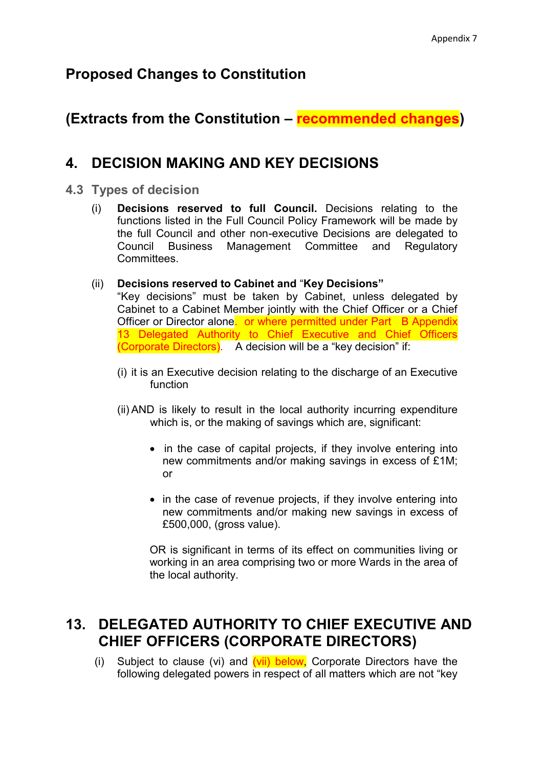## **Proposed Changes to Constitution**

# **(Extracts from the Constitution – recommended changes)**

## **4. DECISION MAKING AND KEY DECISIONS**

### **4.3 Types of decision**

(i) **Decisions reserved to full Council.** Decisions relating to the functions listed in the Full Council Policy Framework will be made by the full Council and other non-executive Decisions are delegated to Council Business Management Committee and Regulatory **Committees** 

#### (ii) **Decisions reserved to Cabinet and** "**Key Decisions"**

"Key decisions" must be taken by Cabinet, unless delegated by Cabinet to a Cabinet Member jointly with the Chief Officer or a Chief Officer or Director alone. or where permitted under Part B Appendix 13 Delegated Authority to Chief Executive and Chief Officers (Corporate Directors). A decision will be a "key decision" if:

- (i) it is an Executive decision relating to the discharge of an Executive function
- (ii) AND is likely to result in the local authority incurring expenditure which is, or the making of savings which are, significant:
	- in the case of capital projects, if they involve entering into new commitments and/or making savings in excess of £1M; or
	- in the case of revenue projects, if they involve entering into new commitments and/or making new savings in excess of £500,000, (gross value).

OR is significant in terms of its effect on communities living or working in an area comprising two or more Wards in the area of the local authority.

# **13. DELEGATED AUTHORITY TO CHIEF EXECUTIVE AND CHIEF OFFICERS (CORPORATE DIRECTORS)**

(i) Subject to clause (vi) and  $(vii)$  below, Corporate Directors have the following delegated powers in respect of all matters which are not "key